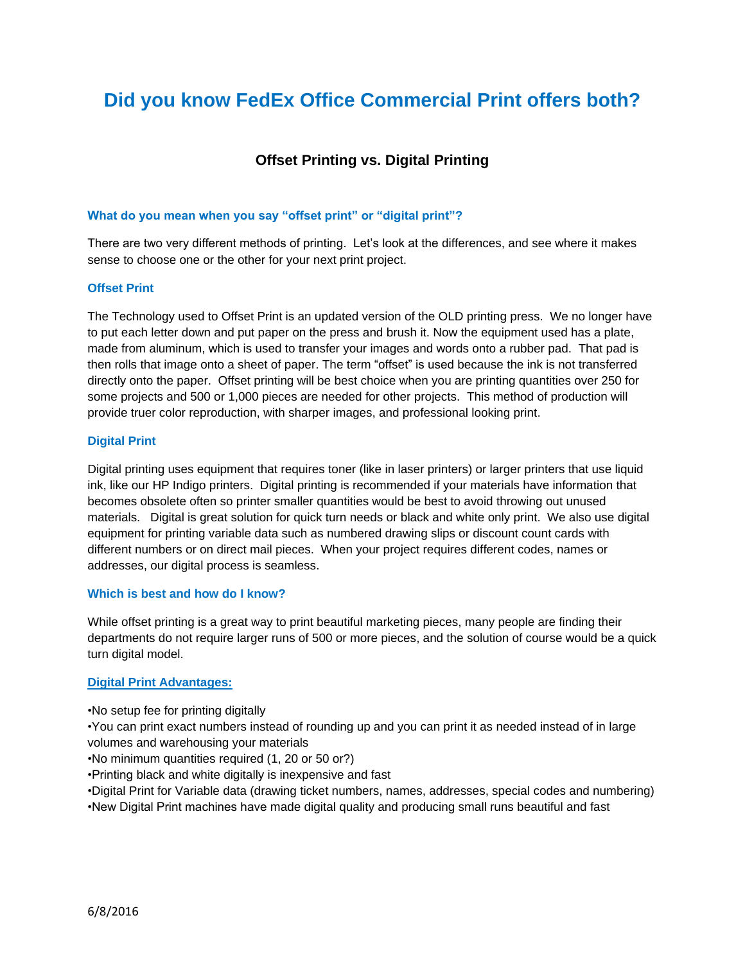# **Did you know FedEx Office Commercial Print offers both?**

# **Offset Printing vs. Digital Printing**

#### **What do you mean when you say "offset print" or "digital print"?**

There are two very different methods of printing. Let's look at the differences, and see where it makes sense to choose one or the other for your next print project.

#### **Offset Print**

The Technology used to Offset Print is an updated version of the OLD printing press. We no longer have to put each letter down and put paper on the press and brush it. Now the equipment used has a plate, made from aluminum, which is used to transfer your images and words onto a rubber pad. That pad is then rolls that image onto a sheet of paper. The term "offset" is used because the ink is not transferred directly onto the paper. Offset printing will be best choice when you are printing quantities over 250 for some projects and 500 or 1,000 pieces are needed for other projects. This method of production will provide truer color reproduction, with sharper images, and professional looking print.

#### **Digital Print**

Digital printing uses equipment that requires toner (like in laser printers) or larger printers that use liquid ink, like our HP Indigo printers. Digital printing is recommended if your materials have information that becomes obsolete often so printer smaller quantities would be best to avoid throwing out unused materials. Digital is great solution for quick turn needs or black and white only print. We also use digital equipment for printing variable data such as numbered drawing slips or discount count cards with different numbers or on direct mail pieces. When your project requires different codes, names or addresses, our digital process is seamless.

#### **Which is best and how do I know?**

While offset printing is a great way to print beautiful marketing pieces, many people are finding their departments do not require larger runs of 500 or more pieces, and the solution of course would be a quick turn digital model.

## **Digital Print Advantages:**

•No setup fee for printing digitally

•You can print exact numbers instead of rounding up and you can print it as needed instead of in large volumes and warehousing your materials

•No minimum quantities required (1, 20 or 50 or?)

•Printing black and white digitally is inexpensive and fast

•Digital Print for Variable data (drawing ticket numbers, names, addresses, special codes and numbering) •New Digital Print machines have made digital quality and producing small runs beautiful and fast